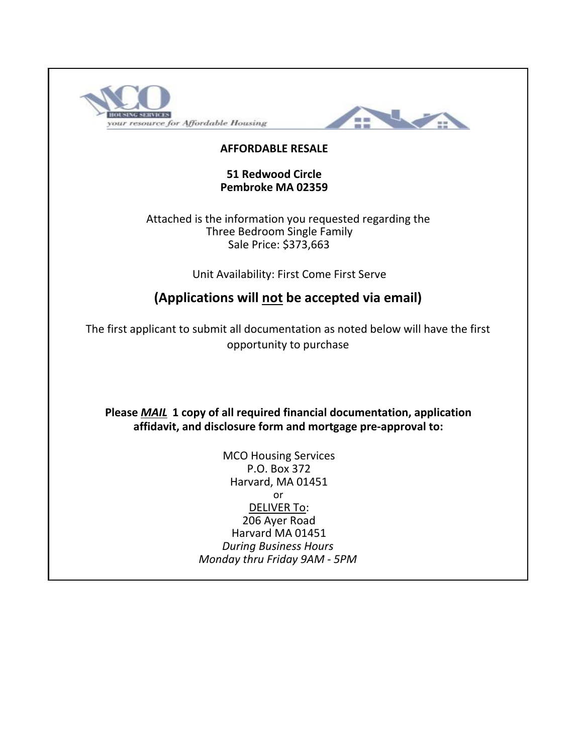



### **AFFORDABLE RESALE**

#### **51 Redwood Circle Pembroke MA 02359**

Attached is the information you requested regarding the Sale Price: \$373,663 Three Bedroom Single Family

Unit Availability: First Come First Serve

# **(Applications will not be accepted via email)**

The first applicant to submit all documentation as noted below will have the first opportunity to purchase

**Please** *MAIL* **1 copy of all required financial documentation, application affidavit, and disclosure form and mortgage pre-approval to:**

> or *Monday thru Friday 9AM - 5PM* DELIVER To: 206 Ayer Road MCO Housing Services P.O. Box 372 Harvard, MA 01451 Harvard MA 01451 *During Business Hours*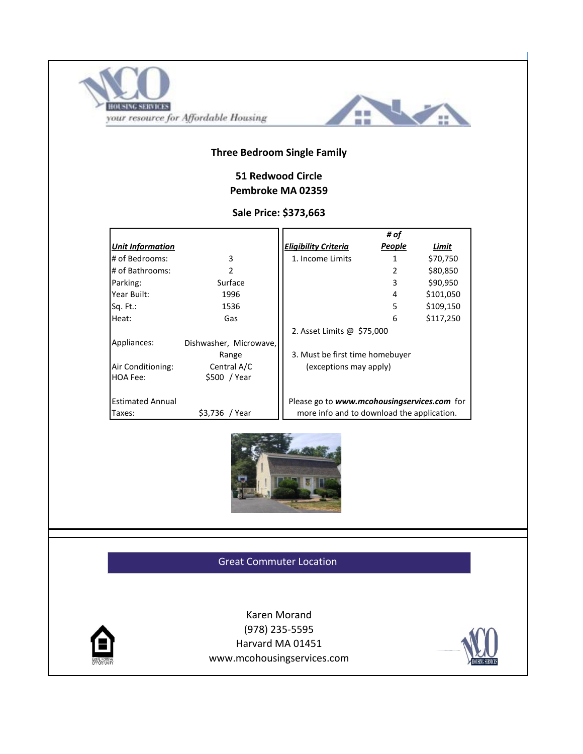



### **Three Bedroom Single Family**

## **51 Redwood Circle Pembroke MA 02359**

#### **Sale Price: \$373,663**

|                         |                        |                                             | # of   |           |
|-------------------------|------------------------|---------------------------------------------|--------|-----------|
| <b>Unit Information</b> |                        | <b>Eligibility Criteria</b>                 | People | Limit     |
| # of Bedrooms:          | 3                      | 1. Income Limits                            | 1      | \$70,750  |
| # of Bathrooms:         | $\mathcal{P}$          |                                             | 2      | \$80,850  |
| Parking:                | Surface                |                                             | 3      | \$90,950  |
| Year Built:             | 1996                   |                                             | 4      | \$101,050 |
| $Sq. Ft.$ :             | 1536                   |                                             | 5      | \$109,150 |
| Heat:                   | Gas                    |                                             | 6      | \$117,250 |
|                         |                        | 2. Asset Limits @ \$75,000                  |        |           |
| Appliances:             | Dishwasher, Microwave, |                                             |        |           |
|                         | Range                  | 3. Must be first time homebuyer             |        |           |
| Air Conditioning:       | Central A/C            | (exceptions may apply)                      |        |           |
| HOA Fee:                | \$500 / Year           |                                             |        |           |
|                         |                        |                                             |        |           |
| <b>Estimated Annual</b> |                        | Please go to www.mcohousingservices.com for |        |           |
| Taxes:                  | \$3,736 / Year         | more info and to download the application.  |        |           |



Great Commuter Location



Karen Morand (978) 235-5595 www.mcohousingservices.com Harvard MA 01451

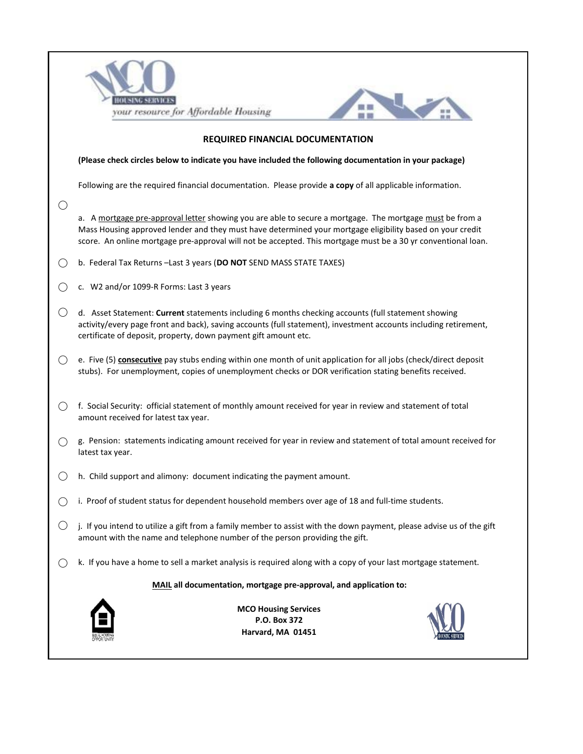|        | your resource for Affordable Housing                                                                                                                                                                                                                                                                                                   |  |  |  |  |  |  |  |  |  |  |
|--------|----------------------------------------------------------------------------------------------------------------------------------------------------------------------------------------------------------------------------------------------------------------------------------------------------------------------------------------|--|--|--|--|--|--|--|--|--|--|
|        | <b>REQUIRED FINANCIAL DOCUMENTATION</b>                                                                                                                                                                                                                                                                                                |  |  |  |  |  |  |  |  |  |  |
|        | (Please check circles below to indicate you have included the following documentation in your package)                                                                                                                                                                                                                                 |  |  |  |  |  |  |  |  |  |  |
|        | Following are the required financial documentation. Please provide a copy of all applicable information.                                                                                                                                                                                                                               |  |  |  |  |  |  |  |  |  |  |
| ()     | a. A mortgage pre-approval letter showing you are able to secure a mortgage. The mortgage must be from a<br>Mass Housing approved lender and they must have determined your mortgage eligibility based on your credit<br>score. An online mortgage pre-approval will not be accepted. This mortgage must be a 30 yr conventional loan. |  |  |  |  |  |  |  |  |  |  |
| $($ )  | b. Federal Tax Returns - Last 3 years (DO NOT SEND MASS STATE TAXES)                                                                                                                                                                                                                                                                   |  |  |  |  |  |  |  |  |  |  |
|        | c. W2 and/or 1099-R Forms: Last 3 years                                                                                                                                                                                                                                                                                                |  |  |  |  |  |  |  |  |  |  |
| O      | d. Asset Statement: Current statements including 6 months checking accounts (full statement showing<br>activity/every page front and back), saving accounts (full statement), investment accounts including retirement,<br>certificate of deposit, property, down payment gift amount etc.                                             |  |  |  |  |  |  |  |  |  |  |
| ( )    | e. Five (5) consecutive pay stubs ending within one month of unit application for all jobs (check/direct deposit<br>stubs). For unemployment, copies of unemployment checks or DOR verification stating benefits received.                                                                                                             |  |  |  |  |  |  |  |  |  |  |
| ( )    | f. Social Security: official statement of monthly amount received for year in review and statement of total<br>amount received for latest tax year.                                                                                                                                                                                    |  |  |  |  |  |  |  |  |  |  |
|        | g. Pension: statements indicating amount received for year in review and statement of total amount received for<br>latest tax year.                                                                                                                                                                                                    |  |  |  |  |  |  |  |  |  |  |
|        | h. Child support and alimony: document indicating the payment amount.                                                                                                                                                                                                                                                                  |  |  |  |  |  |  |  |  |  |  |
|        | i. Proof of student status for dependent household members over age of 18 and full-time students.                                                                                                                                                                                                                                      |  |  |  |  |  |  |  |  |  |  |
| $(\ )$ | j. If you intend to utilize a gift from a family member to assist with the down payment, please advise us of the gift<br>amount with the name and telephone number of the person providing the gift.                                                                                                                                   |  |  |  |  |  |  |  |  |  |  |
|        | k. If you have a home to sell a market analysis is required along with a copy of your last mortgage statement.                                                                                                                                                                                                                         |  |  |  |  |  |  |  |  |  |  |
|        | MAIL all documentation, mortgage pre-approval, and application to:                                                                                                                                                                                                                                                                     |  |  |  |  |  |  |  |  |  |  |
|        | <b>MCO Housing Services</b><br>P.O. Box 372<br>Harvard, MA 01451                                                                                                                                                                                                                                                                       |  |  |  |  |  |  |  |  |  |  |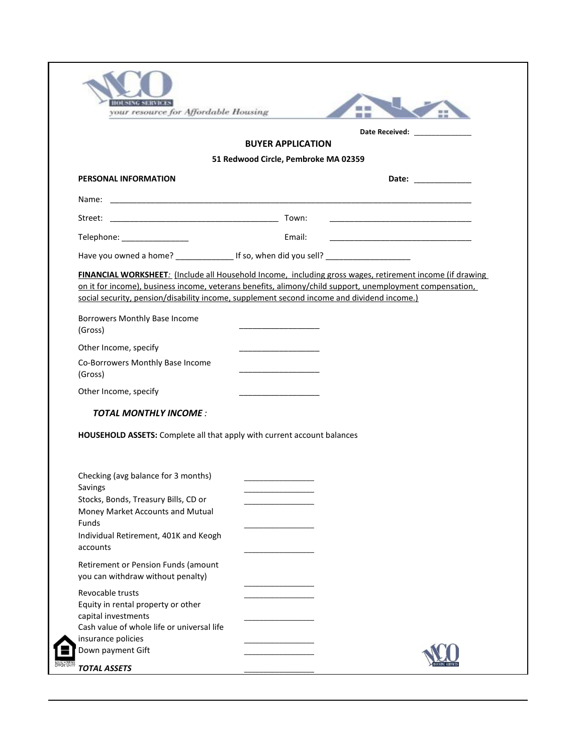| Date Received: Note that the state of the state of the state of the state of the state of the state of the state of the state of the state of the state of the state of the state of the state of the state of the state of th<br><b>BUYER APPLICATION</b><br>51 Redwood Circle, Pembroke MA 02359<br>PERSONAL INFORMATION<br>Telephone: ________________<br>Email:<br><u> 1980 - Jan James James James James James James James James James James James James James James James James J</u><br>Have you owned a home? __________________ If so, when did you sell? ________________________________<br>FINANCIAL WORKSHEET: (Include all Household Income, including gross wages, retirement income (if drawing<br>on it for income), business income, veterans benefits, alimony/child support, unemployment compensation,<br>social security, pension/disability income, supplement second income and dividend income.)<br>Borrowers Monthly Base Income<br>(Gross)<br>Other Income, specify<br>Co-Borrowers Monthly Base Income<br>the control of the control of the control of<br>(Gross)<br>Other Income, specify<br><b>TOTAL MONTHLY INCOME:</b><br>HOUSEHOLD ASSETS: Complete all that apply with current account balances<br>Checking (avg balance for 3 months)<br>Savings<br>Stocks, Bonds, Treasury Bills, CD or<br>Money Market Accounts and Mutual<br>Funds<br>Individual Retirement, 401K and Keogh<br>accounts<br>Retirement or Pension Funds (amount<br>you can withdraw without penalty)<br>Revocable trusts |  |  |
|-------------------------------------------------------------------------------------------------------------------------------------------------------------------------------------------------------------------------------------------------------------------------------------------------------------------------------------------------------------------------------------------------------------------------------------------------------------------------------------------------------------------------------------------------------------------------------------------------------------------------------------------------------------------------------------------------------------------------------------------------------------------------------------------------------------------------------------------------------------------------------------------------------------------------------------------------------------------------------------------------------------------------------------------------------------------------------------------------------------------------------------------------------------------------------------------------------------------------------------------------------------------------------------------------------------------------------------------------------------------------------------------------------------------------------------------------------------------------------------------------------------------------------|--|--|
|                                                                                                                                                                                                                                                                                                                                                                                                                                                                                                                                                                                                                                                                                                                                                                                                                                                                                                                                                                                                                                                                                                                                                                                                                                                                                                                                                                                                                                                                                                                               |  |  |
|                                                                                                                                                                                                                                                                                                                                                                                                                                                                                                                                                                                                                                                                                                                                                                                                                                                                                                                                                                                                                                                                                                                                                                                                                                                                                                                                                                                                                                                                                                                               |  |  |
|                                                                                                                                                                                                                                                                                                                                                                                                                                                                                                                                                                                                                                                                                                                                                                                                                                                                                                                                                                                                                                                                                                                                                                                                                                                                                                                                                                                                                                                                                                                               |  |  |
|                                                                                                                                                                                                                                                                                                                                                                                                                                                                                                                                                                                                                                                                                                                                                                                                                                                                                                                                                                                                                                                                                                                                                                                                                                                                                                                                                                                                                                                                                                                               |  |  |
|                                                                                                                                                                                                                                                                                                                                                                                                                                                                                                                                                                                                                                                                                                                                                                                                                                                                                                                                                                                                                                                                                                                                                                                                                                                                                                                                                                                                                                                                                                                               |  |  |
|                                                                                                                                                                                                                                                                                                                                                                                                                                                                                                                                                                                                                                                                                                                                                                                                                                                                                                                                                                                                                                                                                                                                                                                                                                                                                                                                                                                                                                                                                                                               |  |  |
|                                                                                                                                                                                                                                                                                                                                                                                                                                                                                                                                                                                                                                                                                                                                                                                                                                                                                                                                                                                                                                                                                                                                                                                                                                                                                                                                                                                                                                                                                                                               |  |  |
|                                                                                                                                                                                                                                                                                                                                                                                                                                                                                                                                                                                                                                                                                                                                                                                                                                                                                                                                                                                                                                                                                                                                                                                                                                                                                                                                                                                                                                                                                                                               |  |  |
|                                                                                                                                                                                                                                                                                                                                                                                                                                                                                                                                                                                                                                                                                                                                                                                                                                                                                                                                                                                                                                                                                                                                                                                                                                                                                                                                                                                                                                                                                                                               |  |  |
|                                                                                                                                                                                                                                                                                                                                                                                                                                                                                                                                                                                                                                                                                                                                                                                                                                                                                                                                                                                                                                                                                                                                                                                                                                                                                                                                                                                                                                                                                                                               |  |  |
|                                                                                                                                                                                                                                                                                                                                                                                                                                                                                                                                                                                                                                                                                                                                                                                                                                                                                                                                                                                                                                                                                                                                                                                                                                                                                                                                                                                                                                                                                                                               |  |  |
|                                                                                                                                                                                                                                                                                                                                                                                                                                                                                                                                                                                                                                                                                                                                                                                                                                                                                                                                                                                                                                                                                                                                                                                                                                                                                                                                                                                                                                                                                                                               |  |  |
|                                                                                                                                                                                                                                                                                                                                                                                                                                                                                                                                                                                                                                                                                                                                                                                                                                                                                                                                                                                                                                                                                                                                                                                                                                                                                                                                                                                                                                                                                                                               |  |  |
|                                                                                                                                                                                                                                                                                                                                                                                                                                                                                                                                                                                                                                                                                                                                                                                                                                                                                                                                                                                                                                                                                                                                                                                                                                                                                                                                                                                                                                                                                                                               |  |  |
|                                                                                                                                                                                                                                                                                                                                                                                                                                                                                                                                                                                                                                                                                                                                                                                                                                                                                                                                                                                                                                                                                                                                                                                                                                                                                                                                                                                                                                                                                                                               |  |  |
|                                                                                                                                                                                                                                                                                                                                                                                                                                                                                                                                                                                                                                                                                                                                                                                                                                                                                                                                                                                                                                                                                                                                                                                                                                                                                                                                                                                                                                                                                                                               |  |  |
|                                                                                                                                                                                                                                                                                                                                                                                                                                                                                                                                                                                                                                                                                                                                                                                                                                                                                                                                                                                                                                                                                                                                                                                                                                                                                                                                                                                                                                                                                                                               |  |  |
|                                                                                                                                                                                                                                                                                                                                                                                                                                                                                                                                                                                                                                                                                                                                                                                                                                                                                                                                                                                                                                                                                                                                                                                                                                                                                                                                                                                                                                                                                                                               |  |  |
|                                                                                                                                                                                                                                                                                                                                                                                                                                                                                                                                                                                                                                                                                                                                                                                                                                                                                                                                                                                                                                                                                                                                                                                                                                                                                                                                                                                                                                                                                                                               |  |  |
| Equity in rental property or other<br>capital investments<br>Cash value of whole life or universal life                                                                                                                                                                                                                                                                                                                                                                                                                                                                                                                                                                                                                                                                                                                                                                                                                                                                                                                                                                                                                                                                                                                                                                                                                                                                                                                                                                                                                       |  |  |
| insurance policies<br>Down payment Gift                                                                                                                                                                                                                                                                                                                                                                                                                                                                                                                                                                                                                                                                                                                                                                                                                                                                                                                                                                                                                                                                                                                                                                                                                                                                                                                                                                                                                                                                                       |  |  |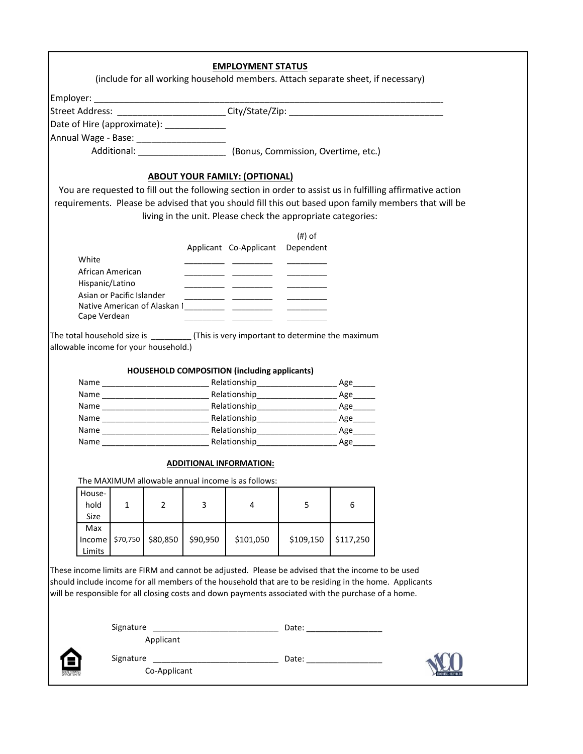| Street Address: _______________________City/State/Zip: _________________________<br>Date of Hire (approximate): _____________<br>Additional: ______________________ (Bonus, Commission, Overtime, etc.)<br><b>ABOUT YOUR FAMILY: (OPTIONAL)</b><br>You are requested to fill out the following section in order to assist us in fulfilling affirmative action<br>requirements. Please be advised that you should fill this out based upon family members that will be<br>living in the unit. Please check the appropriate categories:<br>(#) of<br>Applicant Co-Applicant Dependent<br>White<br>African American<br><u> 1989 - John Harry Barn, mars and de la partie de la partie de la partie de la partie de la partie de la parti</u><br>Hispanic/Latino<br>Asian or Pacific Islander<br>Cape Verdean<br>The total household size is _____________(This is very important to determine the maximum<br>allowable income for your household.)<br>HOUSEHOLD COMPOSITION (including applicants)<br>Age_____<br>Name Age Relationship Age<br><b>ADDITIONAL INFORMATION:</b><br>The MAXIMUM allowable annual income is as follows:<br>House-<br>5<br>6<br>hold<br>$\mathbf{1}$<br>$\overline{2}$<br>3<br>4<br>Size<br>Max<br>Income \$70,750<br>\$80,850<br>\$90,950<br>\$101,050<br>\$109,150<br>\$117,250<br>Limits<br>These income limits are FIRM and cannot be adjusted. Please be advised that the income to be used |  |              | <b>EMPLOYMENT STATUS</b><br>(include for all working household members. Attach separate sheet, if necessary) |  |  |
|--------------------------------------------------------------------------------------------------------------------------------------------------------------------------------------------------------------------------------------------------------------------------------------------------------------------------------------------------------------------------------------------------------------------------------------------------------------------------------------------------------------------------------------------------------------------------------------------------------------------------------------------------------------------------------------------------------------------------------------------------------------------------------------------------------------------------------------------------------------------------------------------------------------------------------------------------------------------------------------------------------------------------------------------------------------------------------------------------------------------------------------------------------------------------------------------------------------------------------------------------------------------------------------------------------------------------------------------------------------------------------------------------------------------------|--|--------------|--------------------------------------------------------------------------------------------------------------|--|--|
|                                                                                                                                                                                                                                                                                                                                                                                                                                                                                                                                                                                                                                                                                                                                                                                                                                                                                                                                                                                                                                                                                                                                                                                                                                                                                                                                                                                                                          |  |              |                                                                                                              |  |  |
|                                                                                                                                                                                                                                                                                                                                                                                                                                                                                                                                                                                                                                                                                                                                                                                                                                                                                                                                                                                                                                                                                                                                                                                                                                                                                                                                                                                                                          |  |              |                                                                                                              |  |  |
|                                                                                                                                                                                                                                                                                                                                                                                                                                                                                                                                                                                                                                                                                                                                                                                                                                                                                                                                                                                                                                                                                                                                                                                                                                                                                                                                                                                                                          |  |              |                                                                                                              |  |  |
|                                                                                                                                                                                                                                                                                                                                                                                                                                                                                                                                                                                                                                                                                                                                                                                                                                                                                                                                                                                                                                                                                                                                                                                                                                                                                                                                                                                                                          |  |              |                                                                                                              |  |  |
|                                                                                                                                                                                                                                                                                                                                                                                                                                                                                                                                                                                                                                                                                                                                                                                                                                                                                                                                                                                                                                                                                                                                                                                                                                                                                                                                                                                                                          |  |              |                                                                                                              |  |  |
|                                                                                                                                                                                                                                                                                                                                                                                                                                                                                                                                                                                                                                                                                                                                                                                                                                                                                                                                                                                                                                                                                                                                                                                                                                                                                                                                                                                                                          |  |              |                                                                                                              |  |  |
|                                                                                                                                                                                                                                                                                                                                                                                                                                                                                                                                                                                                                                                                                                                                                                                                                                                                                                                                                                                                                                                                                                                                                                                                                                                                                                                                                                                                                          |  |              |                                                                                                              |  |  |
|                                                                                                                                                                                                                                                                                                                                                                                                                                                                                                                                                                                                                                                                                                                                                                                                                                                                                                                                                                                                                                                                                                                                                                                                                                                                                                                                                                                                                          |  |              |                                                                                                              |  |  |
|                                                                                                                                                                                                                                                                                                                                                                                                                                                                                                                                                                                                                                                                                                                                                                                                                                                                                                                                                                                                                                                                                                                                                                                                                                                                                                                                                                                                                          |  |              |                                                                                                              |  |  |
|                                                                                                                                                                                                                                                                                                                                                                                                                                                                                                                                                                                                                                                                                                                                                                                                                                                                                                                                                                                                                                                                                                                                                                                                                                                                                                                                                                                                                          |  |              |                                                                                                              |  |  |
|                                                                                                                                                                                                                                                                                                                                                                                                                                                                                                                                                                                                                                                                                                                                                                                                                                                                                                                                                                                                                                                                                                                                                                                                                                                                                                                                                                                                                          |  |              |                                                                                                              |  |  |
|                                                                                                                                                                                                                                                                                                                                                                                                                                                                                                                                                                                                                                                                                                                                                                                                                                                                                                                                                                                                                                                                                                                                                                                                                                                                                                                                                                                                                          |  |              |                                                                                                              |  |  |
|                                                                                                                                                                                                                                                                                                                                                                                                                                                                                                                                                                                                                                                                                                                                                                                                                                                                                                                                                                                                                                                                                                                                                                                                                                                                                                                                                                                                                          |  |              |                                                                                                              |  |  |
|                                                                                                                                                                                                                                                                                                                                                                                                                                                                                                                                                                                                                                                                                                                                                                                                                                                                                                                                                                                                                                                                                                                                                                                                                                                                                                                                                                                                                          |  |              |                                                                                                              |  |  |
|                                                                                                                                                                                                                                                                                                                                                                                                                                                                                                                                                                                                                                                                                                                                                                                                                                                                                                                                                                                                                                                                                                                                                                                                                                                                                                                                                                                                                          |  |              |                                                                                                              |  |  |
|                                                                                                                                                                                                                                                                                                                                                                                                                                                                                                                                                                                                                                                                                                                                                                                                                                                                                                                                                                                                                                                                                                                                                                                                                                                                                                                                                                                                                          |  |              |                                                                                                              |  |  |
|                                                                                                                                                                                                                                                                                                                                                                                                                                                                                                                                                                                                                                                                                                                                                                                                                                                                                                                                                                                                                                                                                                                                                                                                                                                                                                                                                                                                                          |  |              |                                                                                                              |  |  |
|                                                                                                                                                                                                                                                                                                                                                                                                                                                                                                                                                                                                                                                                                                                                                                                                                                                                                                                                                                                                                                                                                                                                                                                                                                                                                                                                                                                                                          |  |              |                                                                                                              |  |  |
|                                                                                                                                                                                                                                                                                                                                                                                                                                                                                                                                                                                                                                                                                                                                                                                                                                                                                                                                                                                                                                                                                                                                                                                                                                                                                                                                                                                                                          |  |              |                                                                                                              |  |  |
|                                                                                                                                                                                                                                                                                                                                                                                                                                                                                                                                                                                                                                                                                                                                                                                                                                                                                                                                                                                                                                                                                                                                                                                                                                                                                                                                                                                                                          |  |              |                                                                                                              |  |  |
|                                                                                                                                                                                                                                                                                                                                                                                                                                                                                                                                                                                                                                                                                                                                                                                                                                                                                                                                                                                                                                                                                                                                                                                                                                                                                                                                                                                                                          |  |              |                                                                                                              |  |  |
|                                                                                                                                                                                                                                                                                                                                                                                                                                                                                                                                                                                                                                                                                                                                                                                                                                                                                                                                                                                                                                                                                                                                                                                                                                                                                                                                                                                                                          |  |              |                                                                                                              |  |  |
|                                                                                                                                                                                                                                                                                                                                                                                                                                                                                                                                                                                                                                                                                                                                                                                                                                                                                                                                                                                                                                                                                                                                                                                                                                                                                                                                                                                                                          |  |              |                                                                                                              |  |  |
|                                                                                                                                                                                                                                                                                                                                                                                                                                                                                                                                                                                                                                                                                                                                                                                                                                                                                                                                                                                                                                                                                                                                                                                                                                                                                                                                                                                                                          |  |              |                                                                                                              |  |  |
|                                                                                                                                                                                                                                                                                                                                                                                                                                                                                                                                                                                                                                                                                                                                                                                                                                                                                                                                                                                                                                                                                                                                                                                                                                                                                                                                                                                                                          |  |              |                                                                                                              |  |  |
|                                                                                                                                                                                                                                                                                                                                                                                                                                                                                                                                                                                                                                                                                                                                                                                                                                                                                                                                                                                                                                                                                                                                                                                                                                                                                                                                                                                                                          |  |              |                                                                                                              |  |  |
|                                                                                                                                                                                                                                                                                                                                                                                                                                                                                                                                                                                                                                                                                                                                                                                                                                                                                                                                                                                                                                                                                                                                                                                                                                                                                                                                                                                                                          |  |              |                                                                                                              |  |  |
|                                                                                                                                                                                                                                                                                                                                                                                                                                                                                                                                                                                                                                                                                                                                                                                                                                                                                                                                                                                                                                                                                                                                                                                                                                                                                                                                                                                                                          |  |              |                                                                                                              |  |  |
|                                                                                                                                                                                                                                                                                                                                                                                                                                                                                                                                                                                                                                                                                                                                                                                                                                                                                                                                                                                                                                                                                                                                                                                                                                                                                                                                                                                                                          |  |              |                                                                                                              |  |  |
|                                                                                                                                                                                                                                                                                                                                                                                                                                                                                                                                                                                                                                                                                                                                                                                                                                                                                                                                                                                                                                                                                                                                                                                                                                                                                                                                                                                                                          |  |              |                                                                                                              |  |  |
|                                                                                                                                                                                                                                                                                                                                                                                                                                                                                                                                                                                                                                                                                                                                                                                                                                                                                                                                                                                                                                                                                                                                                                                                                                                                                                                                                                                                                          |  |              |                                                                                                              |  |  |
|                                                                                                                                                                                                                                                                                                                                                                                                                                                                                                                                                                                                                                                                                                                                                                                                                                                                                                                                                                                                                                                                                                                                                                                                                                                                                                                                                                                                                          |  |              |                                                                                                              |  |  |
|                                                                                                                                                                                                                                                                                                                                                                                                                                                                                                                                                                                                                                                                                                                                                                                                                                                                                                                                                                                                                                                                                                                                                                                                                                                                                                                                                                                                                          |  |              |                                                                                                              |  |  |
|                                                                                                                                                                                                                                                                                                                                                                                                                                                                                                                                                                                                                                                                                                                                                                                                                                                                                                                                                                                                                                                                                                                                                                                                                                                                                                                                                                                                                          |  |              |                                                                                                              |  |  |
|                                                                                                                                                                                                                                                                                                                                                                                                                                                                                                                                                                                                                                                                                                                                                                                                                                                                                                                                                                                                                                                                                                                                                                                                                                                                                                                                                                                                                          |  |              |                                                                                                              |  |  |
|                                                                                                                                                                                                                                                                                                                                                                                                                                                                                                                                                                                                                                                                                                                                                                                                                                                                                                                                                                                                                                                                                                                                                                                                                                                                                                                                                                                                                          |  |              |                                                                                                              |  |  |
|                                                                                                                                                                                                                                                                                                                                                                                                                                                                                                                                                                                                                                                                                                                                                                                                                                                                                                                                                                                                                                                                                                                                                                                                                                                                                                                                                                                                                          |  |              |                                                                                                              |  |  |
| should include income for all members of the household that are to be residing in the home. Applicants<br>will be responsible for all closing costs and down payments associated with the purchase of a home.                                                                                                                                                                                                                                                                                                                                                                                                                                                                                                                                                                                                                                                                                                                                                                                                                                                                                                                                                                                                                                                                                                                                                                                                            |  |              |                                                                                                              |  |  |
|                                                                                                                                                                                                                                                                                                                                                                                                                                                                                                                                                                                                                                                                                                                                                                                                                                                                                                                                                                                                                                                                                                                                                                                                                                                                                                                                                                                                                          |  |              |                                                                                                              |  |  |
| Date: ___________________                                                                                                                                                                                                                                                                                                                                                                                                                                                                                                                                                                                                                                                                                                                                                                                                                                                                                                                                                                                                                                                                                                                                                                                                                                                                                                                                                                                                |  |              |                                                                                                              |  |  |
| Applicant                                                                                                                                                                                                                                                                                                                                                                                                                                                                                                                                                                                                                                                                                                                                                                                                                                                                                                                                                                                                                                                                                                                                                                                                                                                                                                                                                                                                                |  |              |                                                                                                              |  |  |
| Signature                                                                                                                                                                                                                                                                                                                                                                                                                                                                                                                                                                                                                                                                                                                                                                                                                                                                                                                                                                                                                                                                                                                                                                                                                                                                                                                                                                                                                |  | Co-Applicant |                                                                                                              |  |  |